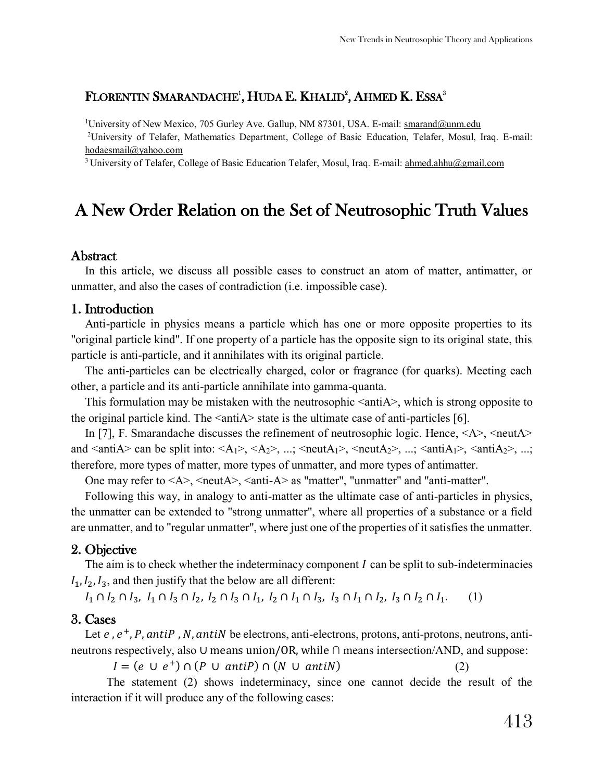## FLORENTIN SMARANDACHE<sup>1</sup>, HUDA E. KHALID<sup>2</sup>, AHMED K. ESSA<sup>3</sup>

<sup>1</sup>University of New Mexico, 705 Gurley Ave. Gallup, NM 87301, USA. E-mail[: smarand@unm.edu](mailto:smarand@unm.edu) <sup>2</sup>University of Telafer, Mathematics Department, College of Basic Education, Telafer, Mosul, Iraq. E-mail: [hodaesmail@yahoo.com](mailto:hodaesmail@yahoo.com)

<sup>3</sup> University of Telafer, College of Basic Education Telafer, Mosul, Iraq. E-mail[: ahmed.ahhu@gmail.com](mailto:ahmed.ahhu@gmail.com)

# A New Order Relation on the Set of Neutrosophic Truth Values

#### **Abstract**

In this article, we discuss all possible cases to construct an atom of matter, antimatter, or unmatter, and also the cases of contradiction (i.e. impossible case).

#### 1. Introduction

Anti-particle in physics means a particle which has one or more opposite properties to its "original particle kind". If one property of a particle has the opposite sign to its original state, this particle is anti-particle, and it annihilates with its original particle.

The anti-particles can be electrically charged, color or fragrance (for quarks). Meeting each other, a particle and its anti-particle annihilate into gamma-quanta.

This formulation may be mistaken with the neutrosophic  $\langle \text{anti} \rangle$ , which is strong opposite to the original particle kind. The  $\langle \text{anti-}\rangle$  state is the ultimate case of anti-particles [6].

In [7], F. Smarandache discusses the refinement of neutrosophic logic. Hence,  $\langle A \rangle$ ,  $\langle$ neutA $\rangle$ and  $\langle \text{anti}A \rangle$  can be split into:  $\langle A_1 \rangle$ ,  $\langle A_2 \rangle$ , ...;  $\langle \text{neut}A_1 \rangle$ ,  $\langle \text{neut}A_2 \rangle$ , ...;  $\langle \text{anti}A_1 \rangle$ ,  $\langle \text{anti}A_2 \rangle$ , ...; therefore, more types of matter, more types of unmatter, and more types of antimatter.

One may refer to  $\langle A \rangle$ ,  $\langle \text{neut} A \rangle$ ,  $\langle \text{anti-A}\rangle$  as "matter", "unmatter" and "anti-matter".

Following this way, in analogy to anti-matter as the ultimate case of anti-particles in physics, the unmatter can be extended to "strong unmatter", where all properties of a substance or a field are unmatter, and to "regular unmatter", where just one of the properties of it satisfies the unmatter.

#### 2. Objective

The aim is to check whether the indeterminacy component  $\hat{I}$  can be split to sub-indeterminacies  $I_1, I_2, I_3$ , and then justify that the below are all different:

 $I_1 \cap I_2 \cap I_3$ ,  $I_1 \cap I_3 \cap I_2$ ,  $I_2 \cap I_3 \cap I_1$ ,  $I_2 \cap I_1 \cap I_3$ ,  $I_3 \cap I_1 \cap I_2$ ,  $I_3 \cap I_2 \cap I_1$ . (1)

#### 3. Cases

Let  $e$ ,  $e^+$ , P, antiP, N, antiN be electrons, anti-electrons, protons, anti-protons, neutrons, antineutrons respectively, also ∪ means union/OR, while ∩ means intersection/AND, and suppose:

 $I = (e \cup e^+) \cap (P \cup antiP) \cap (N \cup antiN)$  (2)

The statement (2) shows indeterminacy, since one cannot decide the result of the interaction if it will produce any of the following cases: